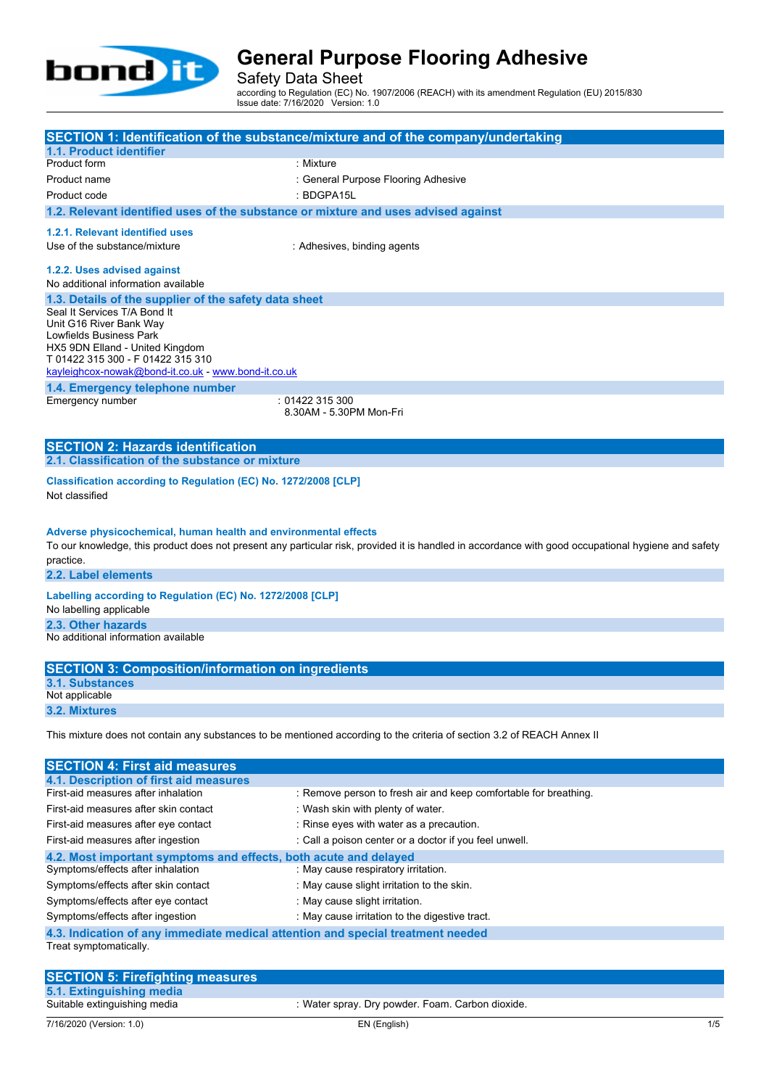

Safety Data Sheet

according to Regulation (EC) No. 1907/2006 (REACH) with its amendment Regulation (EU) 2015/830 Issue date: 7/16/2020 Version: 1.0

|                                                                                                       | SECTION 1: Identification of the substance/mixture and of the company/undertaking                                                                   |
|-------------------------------------------------------------------------------------------------------|-----------------------------------------------------------------------------------------------------------------------------------------------------|
| 1.1. Product identifier                                                                               |                                                                                                                                                     |
| Product form                                                                                          | : Mixture                                                                                                                                           |
| Product name                                                                                          | : General Purpose Flooring Adhesive                                                                                                                 |
| Product code                                                                                          | : BDGPA15L                                                                                                                                          |
| 1.2. Relevant identified uses of the substance or mixture and uses advised against                    |                                                                                                                                                     |
| 1.2.1. Relevant identified uses                                                                       |                                                                                                                                                     |
| Use of the substance/mixture                                                                          | : Adhesives, binding agents                                                                                                                         |
| 1.2.2. Uses advised against                                                                           |                                                                                                                                                     |
| No additional information available                                                                   |                                                                                                                                                     |
| 1.3. Details of the supplier of the safety data sheet                                                 |                                                                                                                                                     |
| Seal It Services T/A Bond It                                                                          |                                                                                                                                                     |
| Unit G16 River Bank Way                                                                               |                                                                                                                                                     |
| Lowfields Business Park<br>HX5 9DN Elland - United Kingdom                                            |                                                                                                                                                     |
| T 01422 315 300 - F 01422 315 310                                                                     |                                                                                                                                                     |
| kayleighcox-nowak@bond-it.co.uk - www.bond-it.co.uk                                                   |                                                                                                                                                     |
| 1.4. Emergency telephone number                                                                       |                                                                                                                                                     |
| Emergency number                                                                                      | :01422315300<br>8.30AM - 5.30PM Mon-Fri                                                                                                             |
|                                                                                                       |                                                                                                                                                     |
| <b>SECTION 2: Hazards identification</b>                                                              |                                                                                                                                                     |
| 2.1. Classification of the substance or mixture                                                       |                                                                                                                                                     |
|                                                                                                       |                                                                                                                                                     |
| Classification according to Regulation (EC) No. 1272/2008 [CLP]                                       |                                                                                                                                                     |
| Not classified                                                                                        |                                                                                                                                                     |
|                                                                                                       |                                                                                                                                                     |
| Adverse physicochemical, human health and environmental effects                                       |                                                                                                                                                     |
|                                                                                                       | To our knowledge, this product does not present any particular risk, provided it is handled in accordance with good occupational hygiene and safety |
| practice.                                                                                             |                                                                                                                                                     |
| 2.2. Label elements                                                                                   |                                                                                                                                                     |
| Labelling according to Regulation (EC) No. 1272/2008 [CLP]                                            |                                                                                                                                                     |
| No labelling applicable                                                                               |                                                                                                                                                     |
| 2.3. Other hazards                                                                                    |                                                                                                                                                     |
| No additional information available                                                                   |                                                                                                                                                     |
|                                                                                                       |                                                                                                                                                     |
| <b>SECTION 3: Composition/information on ingredients</b><br><b>3.1. Substances</b>                    |                                                                                                                                                     |
| Not applicable                                                                                        |                                                                                                                                                     |
| 3.2. Mixtures                                                                                         |                                                                                                                                                     |
|                                                                                                       |                                                                                                                                                     |
|                                                                                                       | This mixture does not contain any substances to be mentioned according to the criteria of section 3.2 of REACH Annex II                             |
|                                                                                                       |                                                                                                                                                     |
| <b>SECTION 4: First aid measures</b>                                                                  |                                                                                                                                                     |
| 4.1. Description of first aid measures<br>First-aid measures after inhalation                         | : Remove person to fresh air and keep comfortable for breathing.                                                                                    |
| First-aid measures after skin contact                                                                 | : Wash skin with plenty of water.                                                                                                                   |
| First-aid measures after eye contact                                                                  | : Rinse eyes with water as a precaution.                                                                                                            |
| First-aid measures after ingestion                                                                    | : Call a poison center or a doctor if you feel unwell.                                                                                              |
|                                                                                                       |                                                                                                                                                     |
| 4.2. Most important symptoms and effects, both acute and delayed<br>Symptoms/effects after inhalation | : May cause respiratory irritation.                                                                                                                 |
| Symptoms/effects after skin contact                                                                   | : May cause slight irritation to the skin.                                                                                                          |
| Symptoms/effects after eye contact                                                                    | : May cause slight irritation.                                                                                                                      |
| Symptoms/effects after ingestion                                                                      | : May cause irritation to the digestive tract.                                                                                                      |

**4.3. Indication of any immediate medical attention and special treatment needed** Treat symptomatically.

| <b>SECTION 5: Firefighting measures</b> |                                                  |
|-----------------------------------------|--------------------------------------------------|
| 5.1. Extinguishing media                |                                                  |
| Suitable extinguishing media            | : Water spray. Dry powder. Foam. Carbon dioxide. |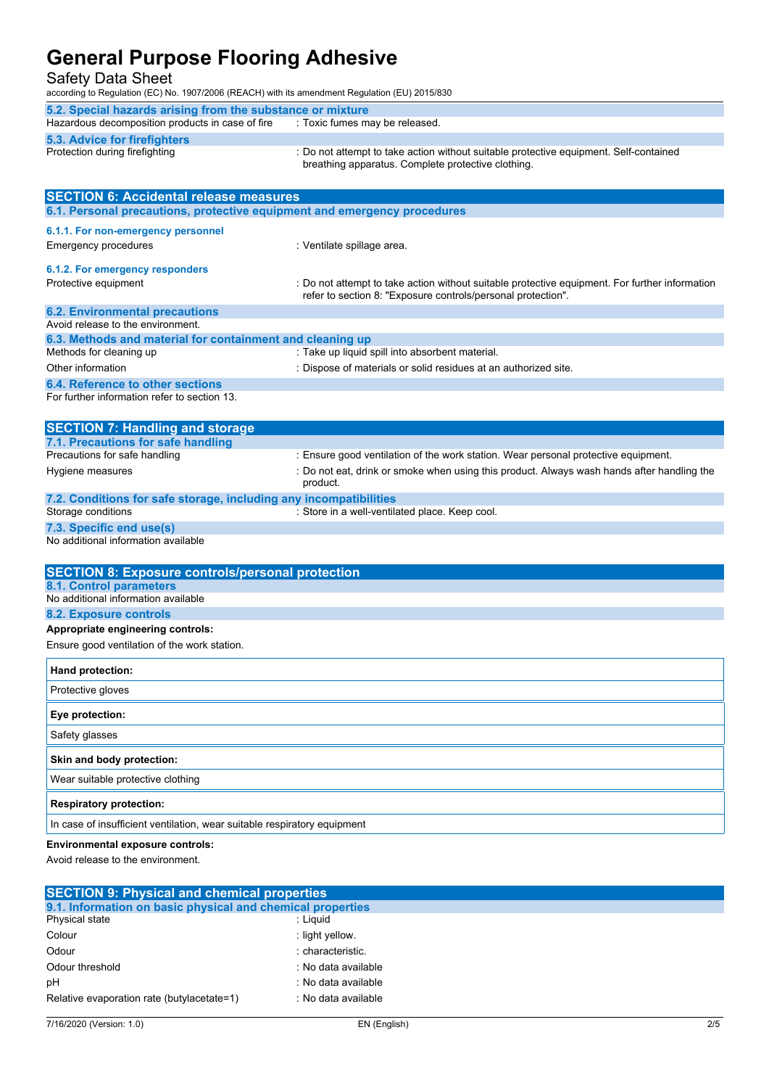Safety Data Sheet

according to Regulation (EC) No. 1907/2006 (REACH) with its amendment Regulation (EU) 2015/830

| 5.2. Special hazards arising from the substance or mixture |                                                                                                                                             |  |
|------------------------------------------------------------|---------------------------------------------------------------------------------------------------------------------------------------------|--|
| Hazardous decomposition products in case of fire           | . Toxic fumes may be released.                                                                                                              |  |
| <b>5.3. Advice for firefighters</b>                        |                                                                                                                                             |  |
| Protection during firefighting                             | : Do not attempt to take action without suitable protective equipment. Self-contained<br>breathing apparatus. Complete protective clothing. |  |

| <b>SECTION 6: Accidental release measures</b>                                           |                                                                                                                                                                                              |  |  |
|-----------------------------------------------------------------------------------------|----------------------------------------------------------------------------------------------------------------------------------------------------------------------------------------------|--|--|
| 6.1. Personal precautions, protective equipment and emergency procedures                |                                                                                                                                                                                              |  |  |
| 6.1.1. For non-emergency personnel<br><b>Emergency procedures</b>                       | : Ventilate spillage area.                                                                                                                                                                   |  |  |
| 6.1.2. For emergency responders<br>Protective equipment                                 | : Do not attempt to take action without suitable protective equipment. For further information<br>refer to section 8: "Exposure controls/personal protection".                               |  |  |
| <b>6.2. Environmental precautions</b><br>Avoid release to the environment.              |                                                                                                                                                                                              |  |  |
| 6.3. Methods and material for containment and cleaning up<br>Methods for cleaning up    | : Take up liquid spill into absorbent material.                                                                                                                                              |  |  |
| Other information                                                                       | : Dispose of materials or solid residues at an authorized site.                                                                                                                              |  |  |
| <b>6.4. Reference to other sections</b><br>For further information refer to section 13. |                                                                                                                                                                                              |  |  |
| <b>SECTION 7: Handling and storage</b>                                                  |                                                                                                                                                                                              |  |  |
| 7.1. Precautions for safe handling<br>Precautions for safe handling<br>Hygiene measures | : Ensure good ventilation of the work station. Wear personal protective equipment.<br>: Do not eat, drink or smoke when using this product. Always wash hands after handling the<br>product. |  |  |
| 7.2. Conditions for safe storage, including any incompatibilities<br>Storage conditions | : Store in a well-ventilated place. Keep cool.                                                                                                                                               |  |  |
| 7.3. Specific end use(s)<br>No additional information available                         |                                                                                                                                                                                              |  |  |
| <b>SECTION 8: Exposure controls/personal protection</b>                                 |                                                                                                                                                                                              |  |  |
| <b>8.1. Control parameters</b>                                                          |                                                                                                                                                                                              |  |  |
| No additional information available                                                     |                                                                                                                                                                                              |  |  |
| 8.2. Exposure controls                                                                  |                                                                                                                                                                                              |  |  |
| Appropriate engineering controls:<br>Ensure good ventilation of the work station.       |                                                                                                                                                                                              |  |  |
| Hand protection:                                                                        |                                                                                                                                                                                              |  |  |
| Protective gloves                                                                       |                                                                                                                                                                                              |  |  |
| Eye protection:                                                                         |                                                                                                                                                                                              |  |  |
| Safety glasses                                                                          |                                                                                                                                                                                              |  |  |
| Skin and body protection:                                                               |                                                                                                                                                                                              |  |  |
| Wear suitable protective clothing                                                       |                                                                                                                                                                                              |  |  |
| <b>Respiratory protection:</b>                                                          |                                                                                                                                                                                              |  |  |
| In case of insufficient ventilation, wear suitable respiratory equipment                |                                                                                                                                                                                              |  |  |
| Environmental exposure controls:<br>Avoid release to the environment.                   |                                                                                                                                                                                              |  |  |

| <b>SECTION 9: Physical and chemical properties</b>         |                     |  |
|------------------------------------------------------------|---------------------|--|
| 9.1. Information on basic physical and chemical properties |                     |  |
| Physical state                                             | : Liauid            |  |
| Colour                                                     | : light yellow.     |  |
| Odour                                                      | : characteristic.   |  |
| Odour threshold                                            | : No data available |  |
| pH                                                         | : No data available |  |
| Relative evaporation rate (butylacetate=1)                 | : No data available |  |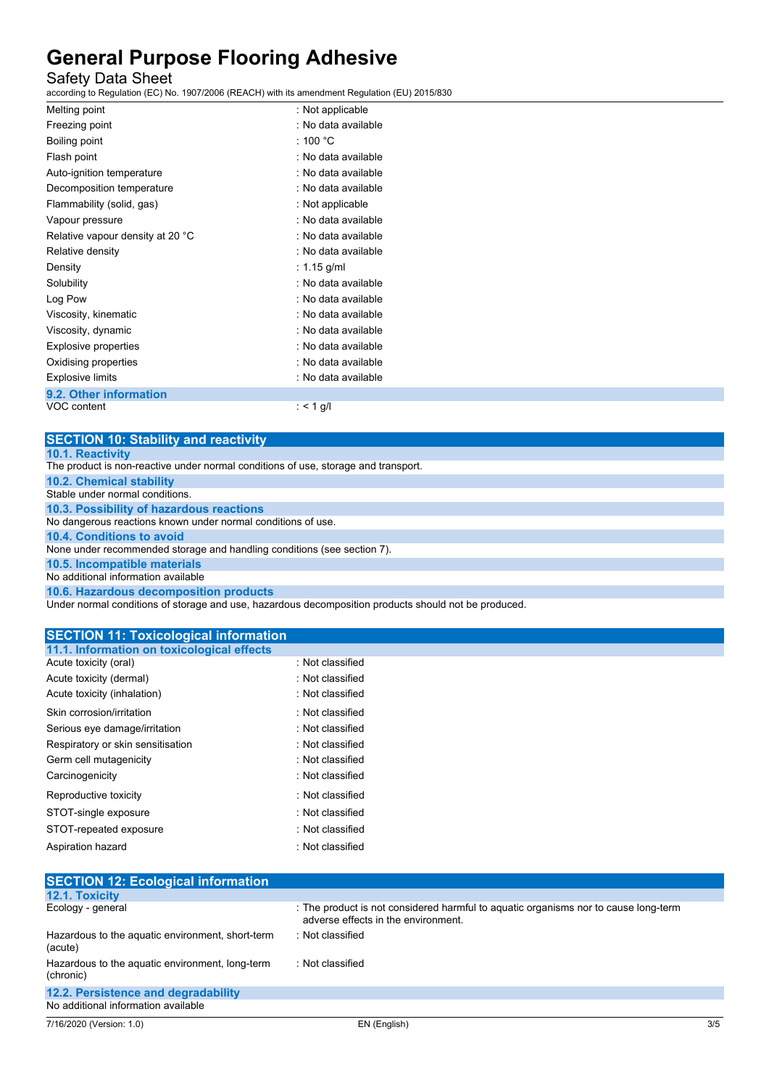### Safety Data Sheet

according to Regulation (EC) No. 1907/2006 (REACH) with its amendment Regulation (EU) 2015/830

| Melting point                    | : Not applicable    |
|----------------------------------|---------------------|
| Freezing point                   | . No data available |
| Boiling point                    | : 100 °C            |
| Flash point                      | : No data available |
| Auto-ignition temperature        | : No data available |
| Decomposition temperature        | : No data available |
| Flammability (solid, gas)        | : Not applicable    |
| Vapour pressure                  | . No data available |
| Relative vapour density at 20 °C | : No data available |
| Relative density                 | : No data available |
| Density                          | : $1.15$ g/ml       |
| Solubility                       | . No data available |
| Log Pow                          | . No data available |
| Viscosity, kinematic             | . No data available |
| Viscosity, dynamic               | : No data available |
| Explosive properties             | : No data available |
| Oxidising properties             | : No data available |
| <b>Explosive limits</b>          | : No data available |
| 9.2. Other information           |                     |
| VOC content                      | : < 1 g/l           |

**SECTION 10: Stability and reactivity 10.1. Reactivity** The product is non-reactive under normal conditions of use, storage and transport. **10.2. Chemical stability** Stable under normal conditions. **10.3. Possibility of hazardous reactions** No dangerous reactions known under normal conditions of use. **10.4. Conditions to avoid** None under recommended storage and handling conditions (see section 7). **10.5. Incompatible materials** No additional information available **10.6. Hazardous decomposition products**

Under normal conditions of storage and use, hazardous decomposition products should not be produced.

| <b>SECTION 11: Toxicological information</b> |                  |
|----------------------------------------------|------------------|
| 11.1. Information on toxicological effects   |                  |
| Acute toxicity (oral)                        | : Not classified |
| Acute toxicity (dermal)                      | : Not classified |
| Acute toxicity (inhalation)                  | : Not classified |
| Skin corrosion/irritation                    | · Not classified |
| Serious eye damage/irritation                | : Not classified |
| Respiratory or skin sensitisation            | Not classified   |
| Germ cell mutagenicity                       | : Not classified |
| Carcinogenicity                              | : Not classified |
| Reproductive toxicity                        | : Not classified |
| STOT-single exposure                         | : Not classified |
| STOT-repeated exposure                       | : Not classified |
| Aspiration hazard                            | : Not classified |

| <b>SECTION 12: Ecological information</b>                    |                                                                                                                            |  |  |
|--------------------------------------------------------------|----------------------------------------------------------------------------------------------------------------------------|--|--|
| 12.1. Toxicity                                               |                                                                                                                            |  |  |
| Ecology - general                                            | : The product is not considered harmful to aquatic organisms nor to cause long-term<br>adverse effects in the environment. |  |  |
| Hazardous to the aquatic environment, short-term<br>(acute)  | : Not classified                                                                                                           |  |  |
| Hazardous to the aquatic environment, long-term<br>(chronic) | : Not classified                                                                                                           |  |  |
| 12.2. Persistence and degradability                          |                                                                                                                            |  |  |
| No additional information available                          |                                                                                                                            |  |  |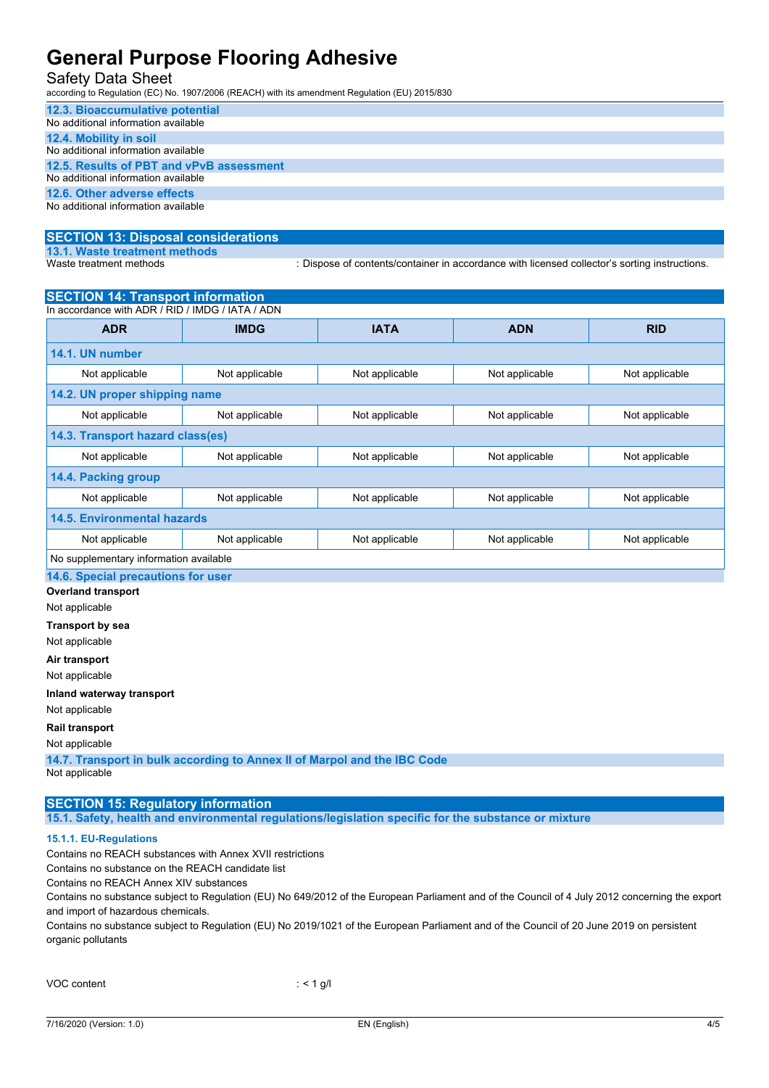#### Safety Data Sheet

according to Regulation (EC) No. 1907/2006 (REACH) with its amendment Regulation (EU) 2015/830

| 12.3. Bioaccumulative potential          |
|------------------------------------------|
| No additional information available      |
| 12.4. Mobility in soil                   |
| No additional information available      |
| 12.5. Results of PBT and vPvB assessment |
| No additional information available      |
| 12.6. Other adverse effects              |
| No additional information available      |

### **SECTION 13: Disposal considerations 13.1. Waste treatment methods**

: Dispose of contents/container in accordance with licensed collector's sorting instructions.

| <b>SECTION 14: Transport information</b>         |                |                |                |                |
|--------------------------------------------------|----------------|----------------|----------------|----------------|
| In accordance with ADR / RID / IMDG / IATA / ADN |                |                |                |                |
| <b>ADR</b>                                       | <b>IMDG</b>    | <b>IATA</b>    | <b>ADN</b>     | <b>RID</b>     |
| 14.1. UN number                                  |                |                |                |                |
| Not applicable                                   | Not applicable | Not applicable | Not applicable | Not applicable |
| 14.2. UN proper shipping name                    |                |                |                |                |
| Not applicable                                   | Not applicable | Not applicable | Not applicable | Not applicable |
| 14.3. Transport hazard class(es)                 |                |                |                |                |
| Not applicable                                   | Not applicable | Not applicable | Not applicable | Not applicable |
| 14.4. Packing group                              |                |                |                |                |
| Not applicable                                   | Not applicable | Not applicable | Not applicable | Not applicable |
| <b>14.5. Environmental hazards</b>               |                |                |                |                |
| Not applicable                                   | Not applicable | Not applicable | Not applicable | Not applicable |
| No supplementary information available           |                |                |                |                |
| 14.6. Special precautions for user               |                |                |                |                |

**Overland transport**

Not applicable

**Transport by sea**

Not applicable

**Air transport**

Not applicable

#### **Inland waterway transport**

Not applicable

**Rail transport**

#### Not applicable

**14.7. Transport in bulk according to Annex II of Marpol and the IBC Code** Not applicable

### **SECTION 15: Regulatory information**

**15.1. Safety, health and environmental regulations/legislation specific for the substance or mixture**

#### **15.1.1. EU-Regulations**

Contains no REACH substances with Annex XVII restrictions

Contains no substance on the REACH candidate list

Contains no REACH Annex XIV substances

Contains no substance subject to Regulation (EU) No 649/2012 of the European Parliament and of the Council of 4 July 2012 concerning the export and import of hazardous chemicals.

Contains no substance subject to Regulation (EU) No 2019/1021 of the European Parliament and of the Council of 20 June 2019 on persistent organic pollutants

|  | VOC content |
|--|-------------|
|--|-------------|

 $:$  < 1 g/l